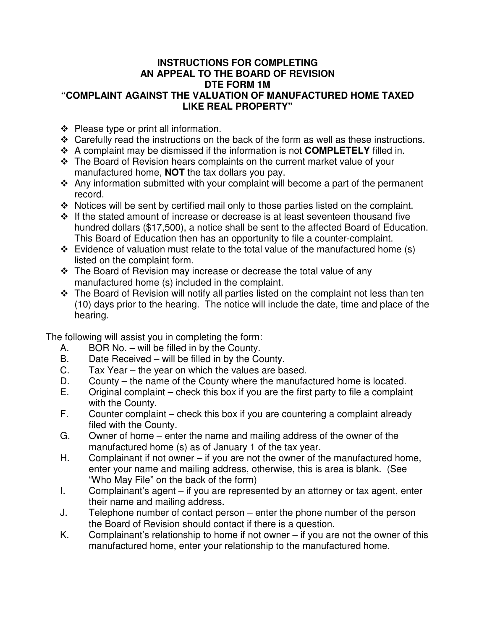## **INSTRUCTIONS FOR COMPLETING AN APPEAL TO THE BOARD OF REVISION DTE FORM 1M "COMPLAINT AGAINST THE VALUATION OF MANUFACTURED HOME TAXED LIKE REAL PROPERTY"**

- $\div$  Please type or print all information.
- Carefully read the instructions on the back of the form as well as these instructions.
- A complaint may be dismissed if the information is not **COMPLETELY** filled in.
- The Board of Revision hears complaints on the current market value of your manufactured home, **NOT** the tax dollars you pay.
- $\cdot$  Any information submitted with your complaint will become a part of the permanent record.
- \* Notices will be sent by certified mail only to those parties listed on the complaint.
- $\cdot \cdot$  If the stated amount of increase or decrease is at least seventeen thousand five hundred dollars (\$17,500), a notice shall be sent to the affected Board of Education. This Board of Education then has an opportunity to file a counter-complaint.
- $\div$  Evidence of valuation must relate to the total value of the manufactured home (s) listed on the complaint form.
- $\div$  The Board of Revision may increase or decrease the total value of any manufactured home (s) included in the complaint.
- $\cdot$  The Board of Revision will notify all parties listed on the complaint not less than ten (10) days prior to the hearing. The notice will include the date, time and place of the hearing.

The following will assist you in completing the form:

- A. BOR No. will be filled in by the County.
- B. Date Received will be filled in by the County.
- C. Tax Year the year on which the values are based.
- D. County the name of the County where the manufactured home is located.
- E. Original complaint check this box if you are the first party to file a complaint with the County.
- F. Counter complaint check this box if you are countering a complaint already filed with the County.
- G. Owner of home enter the name and mailing address of the owner of the manufactured home (s) as of January 1 of the tax year.
- H. Complainant if not owner if you are not the owner of the manufactured home, enter your name and mailing address, otherwise, this is area is blank. (See "Who May File" on the back of the form)
- I. Complainant's agent if you are represented by an attorney or tax agent, enter their name and mailing address.
- J. Telephone number of contact person enter the phone number of the person the Board of Revision should contact if there is a question.
- K. Complainant's relationship to home if not owner if you are not the owner of this manufactured home, enter your relationship to the manufactured home.